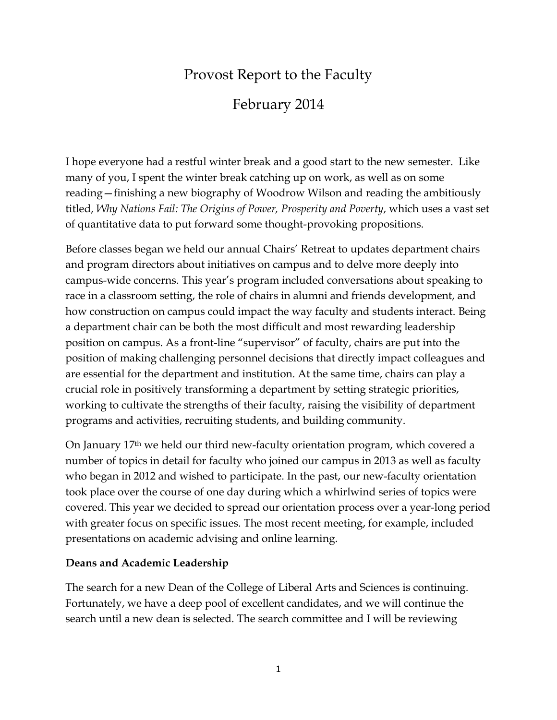# Provost Report to the Faculty

# February 2014

I hope everyone had a restful winter break and a good start to the new semester. Like many of you, I spent the winter break catching up on work, as well as on some reading—finishing a new biography of Woodrow Wilson and reading the ambitiously titled, *Why Nations Fail: The Origins of Power, Prosperity and Poverty*, which uses a vast set of quantitative data to put forward some thought-provoking propositions.

Before classes began we held our annual Chairs' Retreat to updates department chairs and program directors about initiatives on campus and to delve more deeply into campus-wide concerns. This year's program included conversations about speaking to race in a classroom setting, the role of chairs in alumni and friends development, and how construction on campus could impact the way faculty and students interact. Being a department chair can be both the most difficult and most rewarding leadership position on campus. As a front-line "supervisor" of faculty, chairs are put into the position of making challenging personnel decisions that directly impact colleagues and are essential for the department and institution. At the same time, chairs can play a crucial role in positively transforming a department by setting strategic priorities, working to cultivate the strengths of their faculty, raising the visibility of department programs and activities, recruiting students, and building community.

On January 17th we held our third new-faculty orientation program, which covered a number of topics in detail for faculty who joined our campus in 2013 as well as faculty who began in 2012 and wished to participate. In the past, our new-faculty orientation took place over the course of one day during which a whirlwind series of topics were covered. This year we decided to spread our orientation process over a year-long period with greater focus on specific issues. The most recent meeting, for example, included presentations on academic advising and online learning.

### **Deans and Academic Leadership**

The search for a new Dean of the College of Liberal Arts and Sciences is continuing. Fortunately, we have a deep pool of excellent candidates, and we will continue the search until a new dean is selected. The search committee and I will be reviewing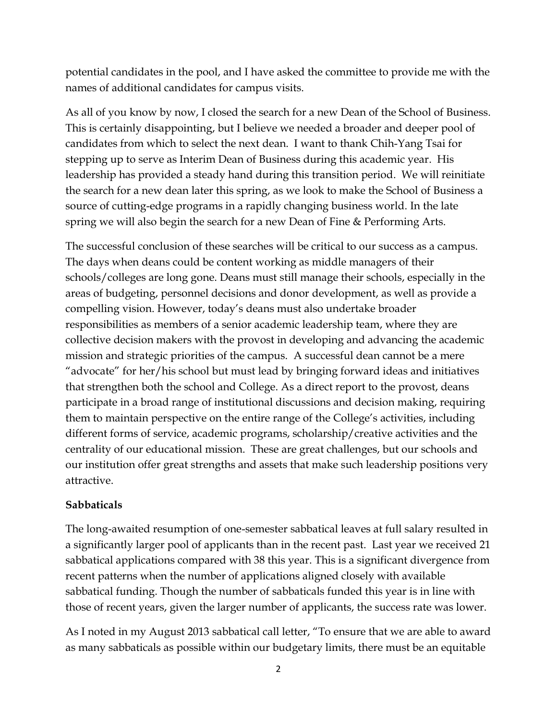potential candidates in the pool, and I have asked the committee to provide me with the names of additional candidates for campus visits.

As all of you know by now, I closed the search for a new Dean of the School of Business. This is certainly disappointing, but I believe we needed a broader and deeper pool of candidates from which to select the next dean. I want to thank Chih-Yang Tsai for stepping up to serve as Interim Dean of Business during this academic year. His leadership has provided a steady hand during this transition period. We will reinitiate the search for a new dean later this spring, as we look to make the School of Business a source of cutting-edge programs in a rapidly changing business world. In the late spring we will also begin the search for a new Dean of Fine & Performing Arts.

The successful conclusion of these searches will be critical to our success as a campus. The days when deans could be content working as middle managers of their schools/colleges are long gone. Deans must still manage their schools, especially in the areas of budgeting, personnel decisions and donor development, as well as provide a compelling vision. However, today's deans must also undertake broader responsibilities as members of a senior academic leadership team, where they are collective decision makers with the provost in developing and advancing the academic mission and strategic priorities of the campus. A successful dean cannot be a mere "advocate" for her/his school but must lead by bringing forward ideas and initiatives that strengthen both the school and College. As a direct report to the provost, deans participate in a broad range of institutional discussions and decision making, requiring them to maintain perspective on the entire range of the College's activities, including different forms of service, academic programs, scholarship/creative activities and the centrality of our educational mission. These are great challenges, but our schools and our institution offer great strengths and assets that make such leadership positions very attractive.

### **Sabbaticals**

The long-awaited resumption of one-semester sabbatical leaves at full salary resulted in a significantly larger pool of applicants than in the recent past. Last year we received 21 sabbatical applications compared with 38 this year. This is a significant divergence from recent patterns when the number of applications aligned closely with available sabbatical funding. Though the number of sabbaticals funded this year is in line with those of recent years, given the larger number of applicants, the success rate was lower.

As I noted in my August 2013 sabbatical call letter, "To ensure that we are able to award as many sabbaticals as possible within our budgetary limits, there must be an equitable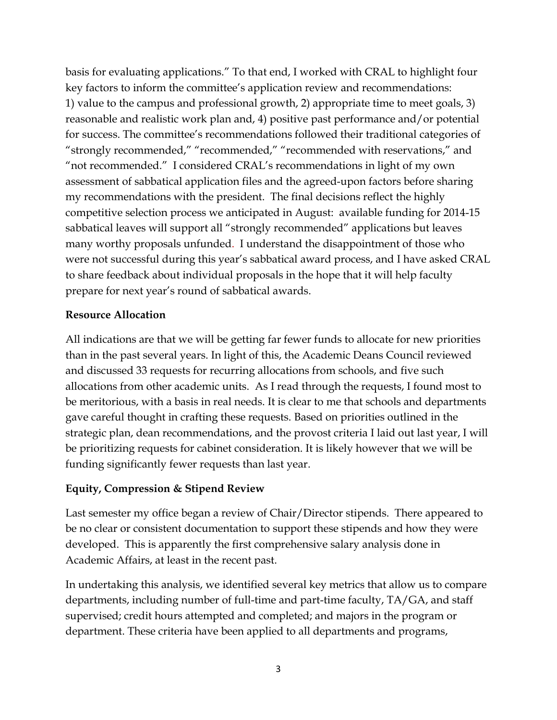basis for evaluating applications." To that end, I worked with CRAL to highlight four key factors to inform the committee's application review and recommendations: 1) value to the campus and professional growth, 2) appropriate time to meet goals, 3) reasonable and realistic work plan and, 4) positive past performance and/or potential for success. The committee's recommendations followed their traditional categories of "strongly recommended," "recommended," "recommended with reservations," and "not recommended." I considered CRAL's recommendations in light of my own assessment of sabbatical application files and the agreed-upon factors before sharing my recommendations with the president. The final decisions reflect the highly competitive selection process we anticipated in August: available funding for 2014-15 sabbatical leaves will support all "strongly recommended" applications but leaves many worthy proposals unfunded. I understand the disappointment of those who were not successful during this year's sabbatical award process, and I have asked CRAL to share feedback about individual proposals in the hope that it will help faculty prepare for next year's round of sabbatical awards.

### **Resource Allocation**

All indications are that we will be getting far fewer funds to allocate for new priorities than in the past several years. In light of this, the Academic Deans Council reviewed and discussed 33 requests for recurring allocations from schools, and five such allocations from other academic units. As I read through the requests, I found most to be meritorious, with a basis in real needs. It is clear to me that schools and departments gave careful thought in crafting these requests. Based on priorities outlined in the strategic plan, dean recommendations, and the provost criteria I laid out last year, I will be prioritizing requests for cabinet consideration. It is likely however that we will be funding significantly fewer requests than last year.

### **Equity, Compression & Stipend Review**

Last semester my office began a review of Chair/Director stipends. There appeared to be no clear or consistent documentation to support these stipends and how they were developed. This is apparently the first comprehensive salary analysis done in Academic Affairs, at least in the recent past.

In undertaking this analysis, we identified several key metrics that allow us to compare departments, including number of full-time and part-time faculty, TA/GA, and staff supervised; credit hours attempted and completed; and majors in the program or department. These criteria have been applied to all departments and programs,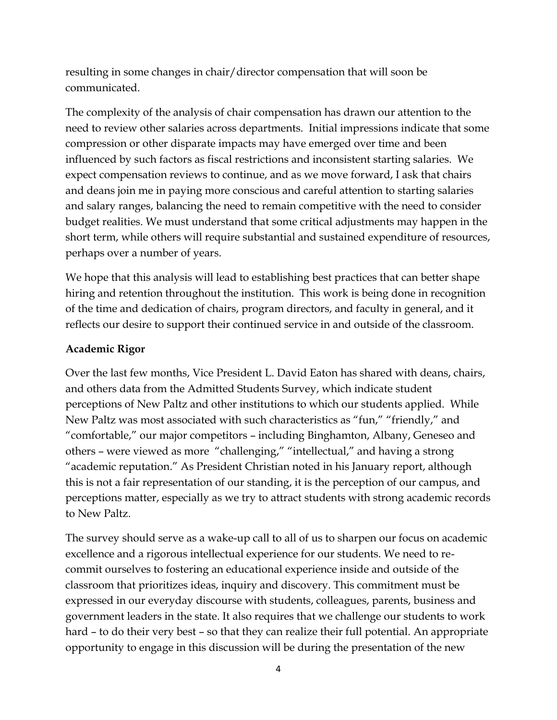resulting in some changes in chair/director compensation that will soon be communicated.

The complexity of the analysis of chair compensation has drawn our attention to the need to review other salaries across departments. Initial impressions indicate that some compression or other disparate impacts may have emerged over time and been influenced by such factors as fiscal restrictions and inconsistent starting salaries. We expect compensation reviews to continue, and as we move forward, I ask that chairs and deans join me in paying more conscious and careful attention to starting salaries and salary ranges, balancing the need to remain competitive with the need to consider budget realities. We must understand that some critical adjustments may happen in the short term, while others will require substantial and sustained expenditure of resources, perhaps over a number of years.

We hope that this analysis will lead to establishing best practices that can better shape hiring and retention throughout the institution. This work is being done in recognition of the time and dedication of chairs, program directors, and faculty in general, and it reflects our desire to support their continued service in and outside of the classroom.

#### **Academic Rigor**

Over the last few months, Vice President L. David Eaton has shared with deans, chairs, and others data from the Admitted Students Survey, which indicate student perceptions of New Paltz and other institutions to which our students applied. While New Paltz was most associated with such characteristics as "fun," "friendly," and "comfortable," our major competitors – including Binghamton, Albany, Geneseo and others – were viewed as more "challenging," "intellectual," and having a strong "academic reputation." As President Christian noted in his January report, although this is not a fair representation of our standing, it is the perception of our campus, and perceptions matter, especially as we try to attract students with strong academic records to New Paltz.

The survey should serve as a wake-up call to all of us to sharpen our focus on academic excellence and a rigorous intellectual experience for our students. We need to recommit ourselves to fostering an educational experience inside and outside of the classroom that prioritizes ideas, inquiry and discovery. This commitment must be expressed in our everyday discourse with students, colleagues, parents, business and government leaders in the state. It also requires that we challenge our students to work hard – to do their very best – so that they can realize their full potential. An appropriate opportunity to engage in this discussion will be during the presentation of the new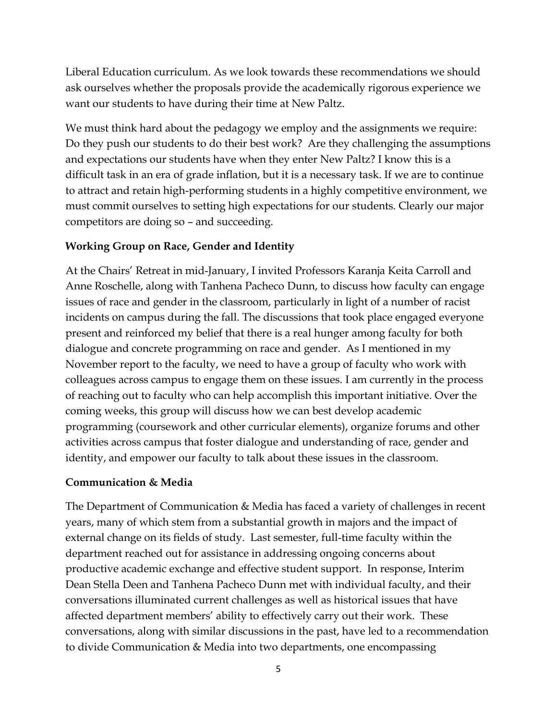Liberal Education curriculum. As we look towards these recommendations we should ask ourselves whether the proposals provide the academically rigorous experience we want our students to have during their time at New Paltz.

We must think hard about the pedagogy we employ and the assignments we require: Do they push our students to do their best work? Are they challenging the assumptions and expectations our students have when they enter New Paltz? I know this is a difficult task in an era of grade inflation, but it is a necessary task. If we are to continue to attract and retain high-performing students in a highly competitive environment, we must commit ourselves to setting high expectations for our students. Clearly our major competitors are doing so – and succeeding.

## **Working Group on Race, Gender and Identity**

At the Chairs' Retreat in mid-January, I invited Professors Karanja Keita Carroll and Anne Roschelle, along with Tanhena Pacheco Dunn, to discuss how faculty can engage issues of race and gender in the classroom, particularly in light of a number of racist incidents on campus during the fall. The discussions that took place engaged everyone present and reinforced my belief that there is a real hunger among faculty for both dialogue and concrete programming on race and gender. As I mentioned in my November report to the faculty, we need to have a group of faculty who work with colleagues across campus to engage them on these issues. I am currently in the process of reaching out to faculty who can help accomplish this important initiative. Over the coming weeks, this group will discuss how we can best develop academic programming (coursework and other curricular elements), organize forums and other activities across campus that foster dialogue and understanding of race, gender and identity, and empower our faculty to talk about these issues in the classroom.

### **Communication & Media**

The Department of Communication & Media has faced a variety of challenges in recent years, many of which stem from a substantial growth in majors and the impact of external change on its fields of study. Last semester, full-time faculty within the department reached out for assistance in addressing ongoing concerns about productive academic exchange and effective student support. In response, Interim Dean Stella Deen and Tanhena Pacheco Dunn met with individual faculty, and their conversations illuminated current challenges as well as historical issues that have affected department members' ability to effectively carry out their work. These conversations, along with similar discussions in the past, have led to a recommendation to divide Communication & Media into two departments, one encompassing